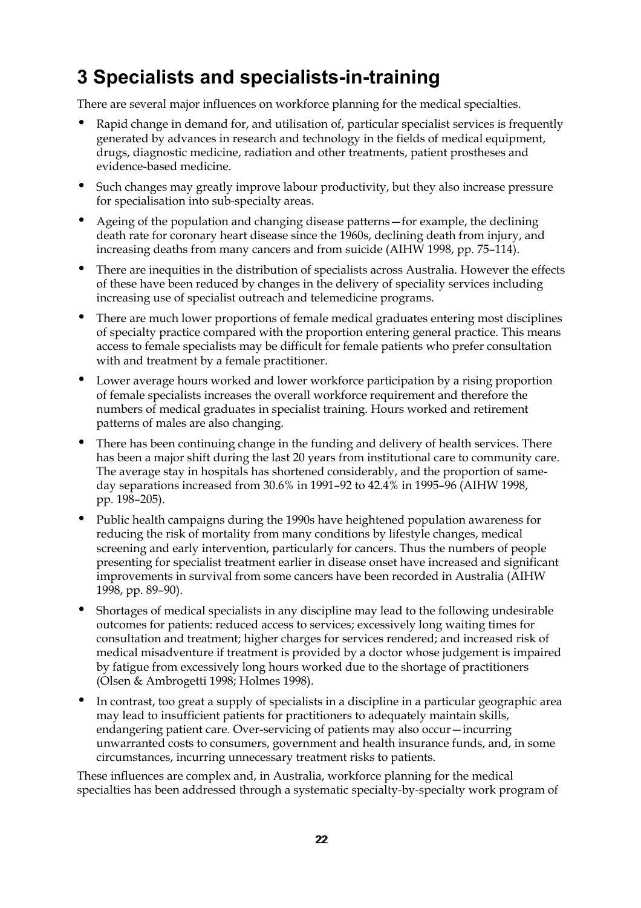# **3 Specialists and specialists-in-training**

There are several major influences on workforce planning for the medical specialties.

- Rapid change in demand for, and utilisation of, particular specialist services is frequently generated by advances in research and technology in the fields of medical equipment, drugs, diagnostic medicine, radiation and other treatments, patient prostheses and evidence-based medicine.
- Such changes may greatly improve labour productivity, but they also increase pressure for specialisation into sub-specialty areas.
- Ageing of the population and changing disease patterns—for example, the declining death rate for coronary heart disease since the 1960s, declining death from injury, and increasing deaths from many cancers and from suicide (AIHW 1998, pp. 75–114).
- There are inequities in the distribution of specialists across Australia. However the effects of these have been reduced by changes in the delivery of speciality services including increasing use of specialist outreach and telemedicine programs.
- There are much lower proportions of female medical graduates entering most disciplines of specialty practice compared with the proportion entering general practice. This means access to female specialists may be difficult for female patients who prefer consultation with and treatment by a female practitioner.
- Lower average hours worked and lower workforce participation by a rising proportion of female specialists increases the overall workforce requirement and therefore the numbers of medical graduates in specialist training. Hours worked and retirement patterns of males are also changing.
- There has been continuing change in the funding and delivery of health services. There has been a major shift during the last 20 years from institutional care to community care. The average stay in hospitals has shortened considerably, and the proportion of sameday separations increased from 30.6% in 1991–92 to 42.4% in 1995–96 (AIHW 1998, pp. 198–205).
- Public health campaigns during the 1990s have heightened population awareness for reducing the risk of mortality from many conditions by lifestyle changes, medical screening and early intervention, particularly for cancers. Thus the numbers of people presenting for specialist treatment earlier in disease onset have increased and significant improvements in survival from some cancers have been recorded in Australia (AIHW 1998, pp. 89–90).
- Shortages of medical specialists in any discipline may lead to the following undesirable outcomes for patients: reduced access to services; excessively long waiting times for consultation and treatment; higher charges for services rendered; and increased risk of medical misadventure if treatment is provided by a doctor whose judgement is impaired by fatigue from excessively long hours worked due to the shortage of practitioners (Olsen & Ambrogetti 1998; Holmes 1998).
- In contrast, too great a supply of specialists in a discipline in a particular geographic area may lead to insufficient patients for practitioners to adequately maintain skills, endangering patient care. Over-servicing of patients may also occur—incurring unwarranted costs to consumers, government and health insurance funds, and, in some circumstances, incurring unnecessary treatment risks to patients.

These influences are complex and, in Australia, workforce planning for the medical specialties has been addressed through a systematic specialty-by-specialty work program of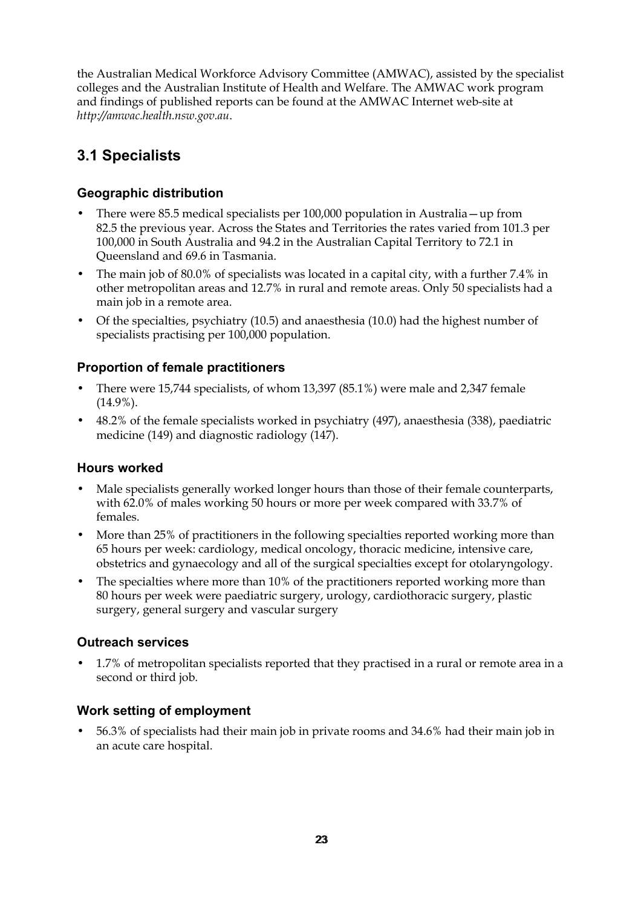the Australian Medical Workforce Advisory Committee (AMWAC), assisted by the specialist colleges and the Australian Institute of Health and Welfare. The AMWAC work program and findings of published reports can be found at the AMWAC Internet web-site at *http://amwac.health.nsw.gov.au*.

# **3.1 Specialists**

### **Geographic distribution**

- There were 85.5 medical specialists per 100,000 population in Australia—up from 82.5 the previous year. Across the States and Territories the rates varied from 101.3 per 100,000 in South Australia and 94.2 in the Australian Capital Territory to 72.1 in Queensland and 69.6 in Tasmania.
- The main job of 80.0% of specialists was located in a capital city, with a further 7.4% in other metropolitan areas and 12.7% in rural and remote areas. Only 50 specialists had a main job in a remote area.
- Of the specialties, psychiatry (10.5) and anaesthesia (10.0) had the highest number of specialists practising per 100,000 population.

## **Proportion of female practitioners**

- There were 15,744 specialists, of whom 13,397 (85.1%) were male and 2,347 female (14.9%).
- 48.2% of the female specialists worked in psychiatry (497), anaesthesia (338), paediatric medicine (149) and diagnostic radiology (147).

#### **Hours worked**

- Male specialists generally worked longer hours than those of their female counterparts, with 62.0% of males working 50 hours or more per week compared with 33.7% of females.
- More than 25% of practitioners in the following specialties reported working more than 65 hours per week: cardiology, medical oncology, thoracic medicine, intensive care, obstetrics and gynaecology and all of the surgical specialties except for otolaryngology.
- The specialties where more than 10% of the practitioners reported working more than 80 hours per week were paediatric surgery, urology, cardiothoracic surgery, plastic surgery, general surgery and vascular surgery

## **Outreach services**

• 1.7% of metropolitan specialists reported that they practised in a rural or remote area in a second or third job.

## **Work setting of employment**

• 56.3% of specialists had their main job in private rooms and 34.6% had their main job in an acute care hospital.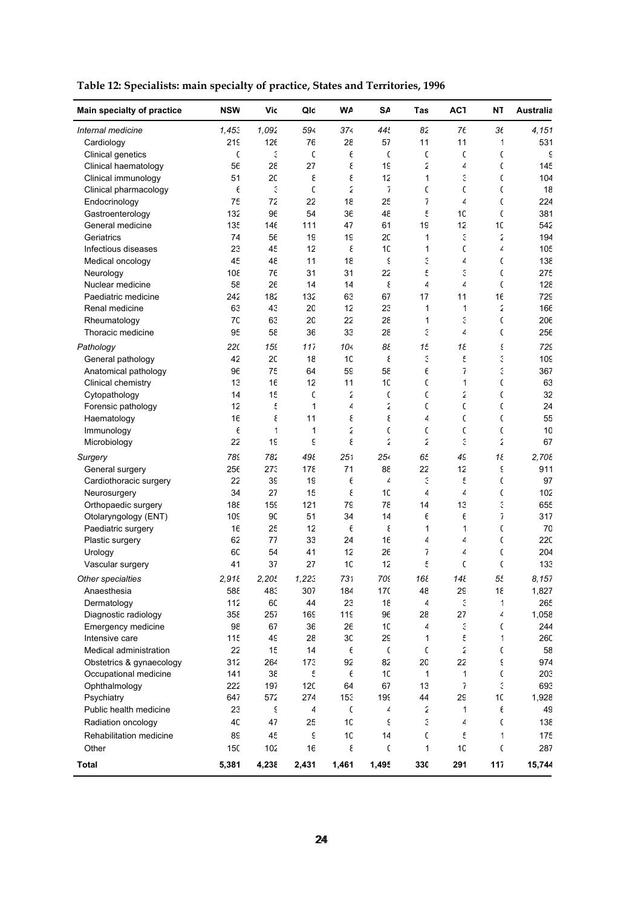| Main specialty of practice                 | <b>NSW</b> | Vic         | Qlc                   | W٨              | S٨             | Tas            | AC <sub>1</sub>          | ΝT           | Australia       |
|--------------------------------------------|------------|-------------|-----------------------|-----------------|----------------|----------------|--------------------------|--------------|-----------------|
| Internal medicine                          | 1,453      | 1,092       | 594                   | 374             | 44t            | 82             | 76                       | 36           | 4,151           |
| Cardiology                                 | 219        | 126         | 76                    | 28              | 57             | 11             | 11                       | 1            | 531             |
| Clinical genetics                          | C          | З           | C                     | $\epsilon$      | C              | C              | C                        | C            | ξ               |
| Clinical haematology                       | 56         | 28          | 27                    | ε               | 1 <sup>c</sup> | ٤              | 4                        | C            | 145             |
| Clinical immunology                        | 51         | 20          | ξ                     | ε               | 12             | 1              | G                        | C            | 104             |
| Clinical pharmacology                      | $\epsilon$ | E           | $\mathfrak{c}$        | 2               | $\overline{1}$ | C              | C                        | C            | 18              |
| Endocrinology                              | 75         | 72          | 22                    | 18              | 25             | 7              | $\overline{4}$           | C            | 224             |
| Gastroenterology                           | 132        | 96          | 54                    | 36              | 48             | f              | 10                       | $\mathsf{C}$ | 381             |
| General medicine                           | 135        | 146         | 111                   | 47              | 61             | 1 <sup>c</sup> | 12                       | 10           | 542             |
| Geriatrics                                 | 74         | 56          | 19                    | 19              | 20             | 1              | ć                        | 2            | 194             |
| Infectious diseases                        | 23         | 45          | 12                    | ε               | 10             | 1              | C                        | 4            | 105             |
| Medical oncology                           | 45         | 48          | 11                    | 18              | ξ              | ć              | 4                        | C            | $13\xi$         |
| Neurology                                  | 108        | 76          | 31                    | 31              | 22             | f              | ć                        | C            | 27٤             |
| Nuclear medicine                           | 58         | 26          | 14                    | 14              | ε              | 4              | $\overline{\mathcal{L}}$ | $\mathsf{C}$ | $12\xi$         |
| Paediatric medicine                        | 242        | 182         | 132                   | 63              | 67             | 17             | 11                       | 16           | 729             |
| Renal medicine                             | 63         | 43          | 2C                    | 12              | 23             | 1              | 1                        | 2            | 166             |
| Rheumatology                               | 70         | 63          | 20                    | 22              | 28             | 1              | З                        | C            | 206             |
| Thoracic medicine                          | 95         | 58          | 36                    | 33              | 28             | ć.             | $\overline{\mathcal{L}}$ | C            | 256             |
| Pathology<br>General pathology             | 220<br>42  | 155<br>20   | 11 <sub>i</sub><br>18 | 104<br>10       | 88<br>ε        | 15<br>E        | 18<br>£                  | Ç<br>ć       | 729<br>109      |
|                                            | 96         | 75          | 64                    | 59              | 58             | Е              | $\overline{1}$           | Ć,           | 367             |
| Anatomical pathology<br>Clinical chemistry | 13         | 16          | 12                    | 11              | 10             | C              | $\mathbf 1$              | C            | 63              |
| Cytopathology                              | 14         | 15          | C                     | 2               | C              | C              | 2                        | $\mathsf{C}$ | 32              |
| Forensic pathology                         | 12         | f           | 1                     | 4               | ٤              | C              | C                        | C            | 24              |
| Haematology                                | 16         | ε           | 11                    | ε               | ε              | 4              | C                        | C            | 55              |
| Immunology                                 | $\epsilon$ | $\mathbf 1$ | 1                     | $\tilde{z}$     | C              | C              | C                        | C            | 10              |
| Microbiology                               | 22         | 19          | ξ                     | ε               | 2              | ٤              | ć                        | ٤            | 67              |
| Surgery                                    | 789        | 782         | 498                   | 251             | 254            | 65             | 4S                       | 18           | 2,70            |
| General surgery                            | 256        | 273         | 178                   | 71              | 88             | 22             | 12                       | ξ            | 911             |
| Cardiothoracic surgery                     | 22         | 3c          | 1 <sup>c</sup>        | $\epsilon$      | 4              | Э              | £                        | C            | 97              |
| Neurosurgery                               | 34         | 27          | 15                    | ε               | 10             | 4              | $\overline{4}$           | C            | 102             |
| Orthopaedic surgery                        | 188        | 159         | 121                   | 79              | 78             | 14             | 13                       | E            | 65£             |
| Otolaryngology (ENT)                       | 109        | 90          | 51                    | 34              | 14             | Е              | $\epsilon$               | 7            | 317             |
| Paediatric surgery                         | 16         | 25          | 12                    | $\epsilon$      | ε              | 1              | 1                        | C            | 70              |
| Plastic surgery                            | 62         | 77          | 33                    | 24              | 16             | 4              | 4                        | C            | 220             |
| Urology                                    | 60         | 54          | 41                    | 12              | 26             | 7              | 4                        | C            | 204             |
| Vascular surgery                           | 41         | 37          | 27                    | 10              | 12             | £              | C                        | $\mathsf{C}$ | 133             |
| Other specialties                          | 2,918      | 2,205       | 1,223                 | 731             | 709            | 168            | 148                      | 5Ł           | 8,157           |
| Anaesthesia                                | 588        | 483         | 307                   | 184             | 17C            | 48             | 29                       | 18           | 1,827           |
| Dermatology                                | 112        | 6C          | 44                    | 23              | 18             | 4              | $\mathbb{S}$             | 1            | 265             |
| Diagnostic radiology                       | 355        | 257         | 169                   | 11 <sup>c</sup> | 96             | 2٤             | 27                       | 4            | 1,058           |
| Emergency medicine                         | 98         | 67          | 36                    | 26              | $10$           | 4              | $\mathbb{S}$             | C            | 244             |
| Intensive care                             | 115        | 49          | 2٤                    | 30              | 29             | 1              | £                        | 1            | 260             |
| Medical administration                     | 22         | 15          | 14                    | Е               | C              | C              | 2                        | C            | 58              |
| Obstetrics & gynaecology                   | 312        | 264         | 17 <sup>c</sup>       | 92              | 82             | 2C             | 22                       | ξ            | 974             |
| Occupational medicine                      | 141        | 38          | £                     | $\epsilon$      | $10$           | 1              | 1                        | C            | 20 <sup>°</sup> |
| Ophthalmology                              | 222        | 197         | 120                   | 64              | 67             | 13             | $\overline{1}$           | E            | 693             |
| Psychiatry                                 | 647        | 572         | 274                   | 153             | 199            | 44             | 29                       | 10           | 1,928           |
| Public health medicine                     | 23         | ς           | 4                     | C               | 4              | 2              | $\mathbf 1$              | $\epsilon$   | 49              |
| Radiation oncology                         | 40         | 47          | 25                    | 10              | ξ              | ć              | 4                        | C            | $13\xi$         |
| Rehabilitation medicine                    | 89         | 45          | ξ                     | 10              | 14             | C              | £                        | 1            | 175             |
| Other                                      | 150        | 102         | 16                    | ε               | C              |                | 10                       | C            | 287             |
| <b>Total</b>                               | 5,381      | 4,238       | 2,431                 | 1,461           | 1,495          | 330            | 291                      | 117          | 15,744          |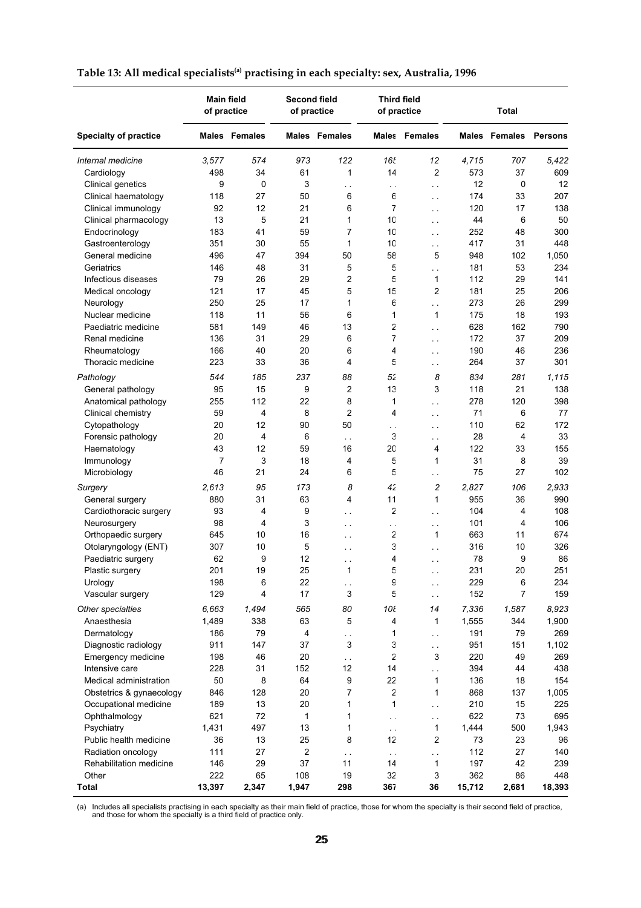|                              | <b>Main field</b><br>of practice |                      |                | <b>Second field</b><br>of practice |                 | <b>Third field</b><br>of practice |        | <b>Total</b>                 |        |  |
|------------------------------|----------------------------------|----------------------|----------------|------------------------------------|-----------------|-----------------------------------|--------|------------------------------|--------|--|
| <b>Specialty of practice</b> |                                  | <b>Males</b> Females |                | <b>Males</b> Females               |                 | <b>Males</b> Females              |        | <b>Males Females Persons</b> |        |  |
| Internal medicine            | 3,577                            | 574                  | 973            | 122                                | 16t             | 12                                | 4,715  | 707                          | 5,422  |  |
| Cardiology                   | 498                              | 34                   | 61             | 1                                  | 14              | $\overline{c}$                    | 573    | 37                           | 609    |  |
| Clinical genetics            | 9                                | 0                    | 3              | $\sim$                             | $\sim$ $\sim$   | $\sim$ $\sim$                     | 12     | 0                            | 12     |  |
| Clinical haematology         | 118                              | 27                   | 50             | 6                                  | 6               | $\sim$                            | 174    | 33                           | 207    |  |
| Clinical immunology          | 92                               | 12                   | 21             | 6                                  | 7               | $\sim$ $\sim$                     | 120    | 17                           | 138    |  |
| Clinical pharmacology        | 13                               | 5                    | 21             | 1                                  | 10              | $\sim$ $\sim$                     | 44     | 6                            | 50     |  |
| Endocrinology                | 183                              | 41                   | 59             | $\overline{7}$                     | 10              | $\sim$ $\sim$                     | 252    | 48                           | 300    |  |
| Gastroenterology             | 351                              | 30                   | 55             | 1                                  | 10              | $\sim$ $\sim$                     | 417    | 31                           | 448    |  |
| General medicine             | 496                              | 47                   | 394            | 50                                 | 58              | 5                                 | 948    | 102                          | 1,050  |  |
| Geriatrics                   | 146                              | 48                   | 31             | 5                                  | 5               | $\sim$ .                          | 181    | 53                           | 234    |  |
| Infectious diseases          | 79                               | 26                   | 29             | $\overline{c}$                     | 5               | 1                                 | 112    | 29                           | 141    |  |
| Medical oncology             | 121                              | 17                   | 45             | 5                                  | 15              | $\overline{c}$                    | 181    | 25                           | 206    |  |
| Neurology                    | 250                              | 25                   | 17             | 1                                  | 6               | $\sim$ .                          | 273    | 26                           | 299    |  |
| Nuclear medicine             | 118                              | 11                   | 56             | 6                                  | 1               | $\mathbf{1}$                      | 175    | 18                           | 193    |  |
| Paediatric medicine          | 581                              | 149                  | 46             | 13                                 | 2               | $\sim$                            | 628    | 162                          | 790    |  |
| Renal medicine               | 136                              | 31                   | 29             | 6                                  | 7               | $\sim$ $\sim$                     | 172    | 37                           | 209    |  |
| Rheumatology                 | 166                              | 40                   | 20             | 6                                  | 4               | $\sim$ $\sim$                     | 190    | 46                           | 236    |  |
| Thoracic medicine            | 223                              | 33                   | 36             | 4                                  | 5               | $\sim$ $\sim$                     | 264    | 37                           | 301    |  |
| Pathology                    | 544                              | 185                  | 237            | 88                                 | 52              | 8                                 | 834    | 281                          | 1,115  |  |
| General pathology            | 95                               | 15                   | 9              | 2                                  | 13              | 3                                 | 118    | 21                           | 138    |  |
| Anatomical pathology         | 255                              | 112                  | 22             | 8                                  | 1               | $\sim$ .                          | 278    | 120                          | 398    |  |
| Clinical chemistry           | 59                               | 4                    | 8              | $\overline{2}$                     | 4               | $\sim$ $\sim$                     | 71     | 6                            | 77     |  |
| Cytopathology                | 20                               | 12                   | 90             | 50                                 | $\sim$          | $\sim$ $\sim$                     | 110    | 62                           | 172    |  |
| Forensic pathology           | 20                               | 4                    | 6              | $\sim$ $\sim$                      | 3               | $\sim$ $\sim$                     | 28     | 4                            | 33     |  |
| Haematology                  | 43                               | 12                   | 59             | 16                                 | 20              | 4                                 | 122    | 33                           | 155    |  |
| Immunology                   | 7                                | 3                    | 18             | 4                                  | 5               | 1                                 | 31     | 8                            | 39     |  |
| Microbiology                 | 46                               | 21                   | 24             | 6                                  | 5               | $\sim$ $\sim$                     | 75     | 27                           | 102    |  |
| Surgery                      | 2,613                            | 95                   | 173            | 8                                  | 42              | $\overline{c}$                    | 2,827  | 106                          | 2,933  |  |
| General surgery              | 880                              | 31                   | 63             | 4                                  | 11              | 1                                 | 955    | 36                           | 990    |  |
| Cardiothoracic surgery       | 93                               | 4                    | 9              | $\sim$ $\sim$                      | 2               | $\sim$ $\sim$                     | 104    | 4                            | 108    |  |
| Neurosurgery                 | 98                               | 4                    | 3              | $\sim$ $\sim$                      | è,              | $\sim$ $\sim$                     | 101    | 4                            | 106    |  |
| Orthopaedic surgery          | 645                              | 10                   | 16             | $\sim$ $\sim$                      | 2               | $\mathbf{1}$                      | 663    | 11                           | 674    |  |
| Otolaryngology (ENT)         | 307                              | 10                   | 5              | $\sim$ $\sim$                      | 3               | $\ddot{\phantom{a}}$              | 316    | 10                           | 326    |  |
| Paediatric surgery           | 62                               | 9                    | 12             | $\sim$ $\sim$                      | 4               | $\sim$ $\sim$                     | 78     | 9                            | 86     |  |
| Plastic surgery              | 201                              | 19                   | 25             | 1                                  | 5               | $\sim$ $\sim$                     | 231    | 20                           | 251    |  |
| Urology                      | 198                              | 6                    | 22             | $\sim$                             | g               | $\sim$ $\sim$                     | 229    | 6                            | 234    |  |
| Vascular surgery             | 129                              | 4                    | 17             | 3                                  | 5               | $\sim$                            | 152    | 7                            | 159    |  |
| Other specialties            | 6,663                            | 1,494                | 565            | 80                                 | 10 <sub>ε</sub> | 14                                | 7,336  | 1,587                        | 8,923  |  |
| Anaesthesia                  | 1,489                            | 338                  | 63             | 5                                  | 4               | 1                                 | 1,555  | 344                          | 1,900  |  |
| Dermatology                  | 186                              | 79                   | 4              | L,                                 | 1               | $\sim$                            | 191    | 79                           | 269    |  |
| Diagnostic radiology         | 911                              | 147                  | 37             | 3                                  | З               | $\sim$                            | 951    | 151                          | 1,102  |  |
| Emergency medicine           | 198                              | 46                   | 20             | $\sim$ $\sim$                      | 2               | 3                                 | 220    | 49                           | 269    |  |
| Intensive care               | 228                              | 31                   | 152            | 12                                 | 14              | $\ddotsc$                         | 394    | 44                           | 438    |  |
| Medical administration       | 50                               | 8                    | 64             | 9                                  | 22              | 1                                 | 136    | 18                           | 154    |  |
| Obstetrics & gynaecology     | 846                              | 128                  | 20             | 7                                  | 2               | $\mathbf{1}$                      | 868    | 137                          | 1,005  |  |
| Occupational medicine        | 189                              | 13                   | 20             | 1                                  | 1               | $\sim$                            | 210    | 15                           | 225    |  |
| Ophthalmology                | 621                              | 72                   | $\mathbf{1}$   | 1                                  | $\sim$          | i.                                | 622    | 73                           | 695    |  |
| Psychiatry                   | 1,431                            | 497                  | 13             | 1                                  | $\sim$          | 1                                 | 1,444  | 500                          | 1,943  |  |
| Public health medicine       | 36                               | 13                   | 25             | 8                                  | 12              | $\overline{2}$                    | 73     | 23                           | 96     |  |
| Radiation oncology           | 111                              | 27                   | $\overline{c}$ | $\sim$ $\sim$                      | $\sim$          | i.                                | 112    | 27                           | 140    |  |
| Rehabilitation medicine      | 146                              | 29                   | 37             | 11                                 | 14              | $\mathbf{1}$                      | 197    | 42                           | 239    |  |
| Other                        | 222                              | 65                   | 108            | 19                                 | 32              | 3                                 | 362    | 86                           | 448    |  |
| <b>Total</b>                 | 13,397                           | 2,347                | 1,947          | 298                                | 367             | 36                                | 15,712 | 2,681                        | 18,393 |  |

# **Table 13: All medical specialists(a) practising in each specialty: sex, Australia, 1996**

(a) Includes all specialists practising in each specialty as their main field of practice, those for whom the specialty is their second field of practice, and those for whom the specialty is a third field of practice only.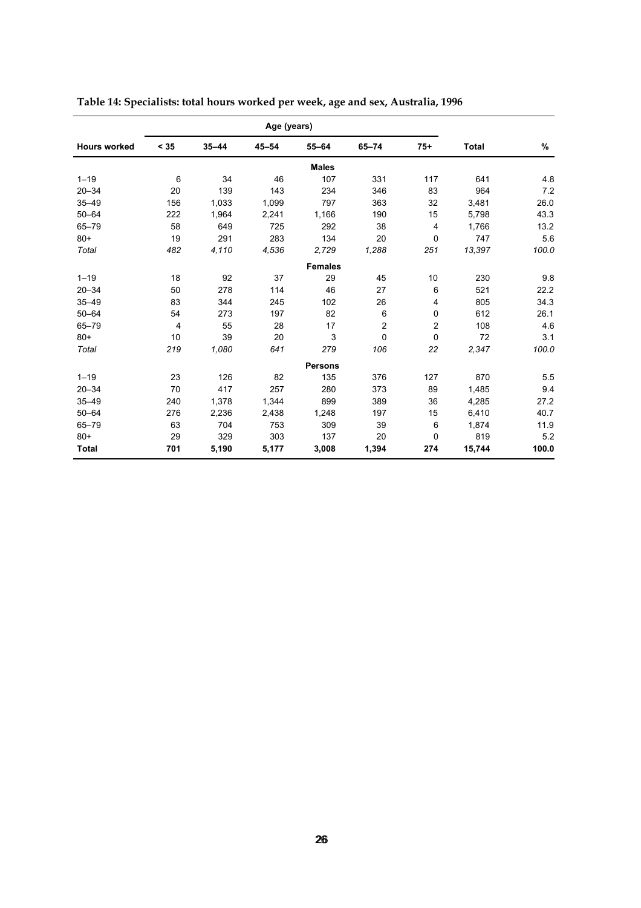| Age (years)         |      |           |           |                |                |                |              |       |
|---------------------|------|-----------|-----------|----------------|----------------|----------------|--------------|-------|
| <b>Hours worked</b> | < 35 | $35 - 44$ | $45 - 54$ | $55 - 64$      | $65 - 74$      | $75+$          | <b>Total</b> | %     |
|                     |      |           |           | <b>Males</b>   |                |                |              |       |
| $1 - 19$            | 6    | 34        | 46        | 107            | 331            | 117            | 641          | 4.8   |
| $20 - 34$           | 20   | 139       | 143       | 234            | 346            | 83             | 964          | 7.2   |
| $35 - 49$           | 156  | 1,033     | 1,099     | 797            | 363            | 32             | 3,481        | 26.0  |
| $50 - 64$           | 222  | 1,964     | 2,241     | 1,166          | 190            | 15             | 5,798        | 43.3  |
| $65 - 79$           | 58   | 649       | 725       | 292            | 38             | 4              | 1,766        | 13.2  |
| $80 +$              | 19   | 291       | 283       | 134            | 20             | 0              | 747          | 5.6   |
| Total               | 482  | 4,110     | 4,536     | 2,729          | 1,288          | 251            | 13,397       | 100.0 |
|                     |      |           |           | <b>Females</b> |                |                |              |       |
| $1 - 19$            | 18   | 92        | 37        | 29             | 45             | 10             | 230          | 9.8   |
| $20 - 34$           | 50   | 278       | 114       | 46             | 27             | 6              | 521          | 22.2  |
| $35 - 49$           | 83   | 344       | 245       | 102            | 26             | 4              | 805          | 34.3  |
| $50 - 64$           | 54   | 273       | 197       | 82             | 6              | 0              | 612          | 26.1  |
| $65 - 79$           | 4    | 55        | 28        | 17             | $\overline{c}$ | $\overline{c}$ | 108          | 4.6   |
| $80 +$              | 10   | 39        | 20        | 3              | 0              | 0              | 72           | 3.1   |
| Total               | 219  | 1,080     | 641       | 279            | 106            | 22             | 2,347        | 100.0 |
|                     |      |           |           | <b>Persons</b> |                |                |              |       |
| $1 - 19$            | 23   | 126       | 82        | 135            | 376            | 127            | 870          | 5.5   |
| $20 - 34$           | 70   | 417       | 257       | 280            | 373            | 89             | 1,485        | 9.4   |
| $35 - 49$           | 240  | 1,378     | 1,344     | 899            | 389            | 36             | 4,285        | 27.2  |
| $50 - 64$           | 276  | 2,236     | 2,438     | 1,248          | 197            | 15             | 6,410        | 40.7  |
| $65 - 79$           | 63   | 704       | 753       | 309            | 39             | 6              | 1,874        | 11.9  |
| $80+$               | 29   | 329       | 303       | 137            | 20             | 0              | 819          | 5.2   |
| <b>Total</b>        | 701  | 5,190     | 5,177     | 3,008          | 1,394          | 274            | 15,744       | 100.0 |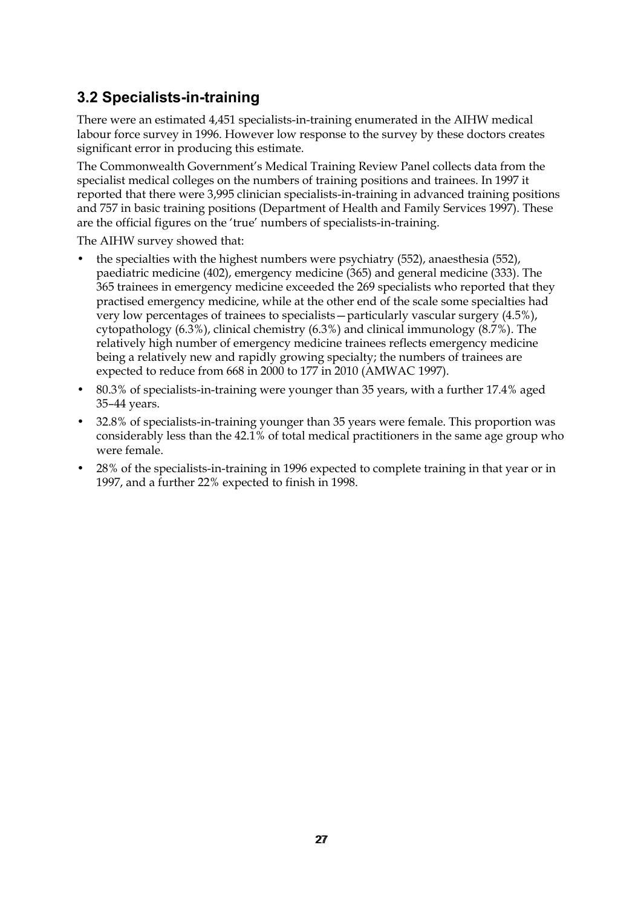# **3.2 Specialists-in-training**

There were an estimated 4,451 specialists-in-training enumerated in the AIHW medical labour force survey in 1996. However low response to the survey by these doctors creates significant error in producing this estimate.

The Commonwealth Government's Medical Training Review Panel collects data from the specialist medical colleges on the numbers of training positions and trainees. In 1997 it reported that there were 3,995 clinician specialists-in-training in advanced training positions and 757 in basic training positions (Department of Health and Family Services 1997). These are the official figures on the 'true' numbers of specialists-in-training.

The AIHW survey showed that:

- the specialties with the highest numbers were psychiatry (552), anaesthesia (552), paediatric medicine (402), emergency medicine (365) and general medicine (333). The 365 trainees in emergency medicine exceeded the 269 specialists who reported that they practised emergency medicine, while at the other end of the scale some specialties had very low percentages of trainees to specialists—particularly vascular surgery (4.5%), cytopathology (6.3%), clinical chemistry (6.3%) and clinical immunology (8.7%). The relatively high number of emergency medicine trainees reflects emergency medicine being a relatively new and rapidly growing specialty; the numbers of trainees are expected to reduce from 668 in 2000 to 177 in 2010 (AMWAC 1997).
- 80.3% of specialists-in-training were younger than 35 years, with a further 17.4% aged 35–44 years.
- 32.8% of specialists-in-training younger than 35 years were female. This proportion was considerably less than the 42.1% of total medical practitioners in the same age group who were female.
- 28% of the specialists-in-training in 1996 expected to complete training in that year or in 1997, and a further 22% expected to finish in 1998.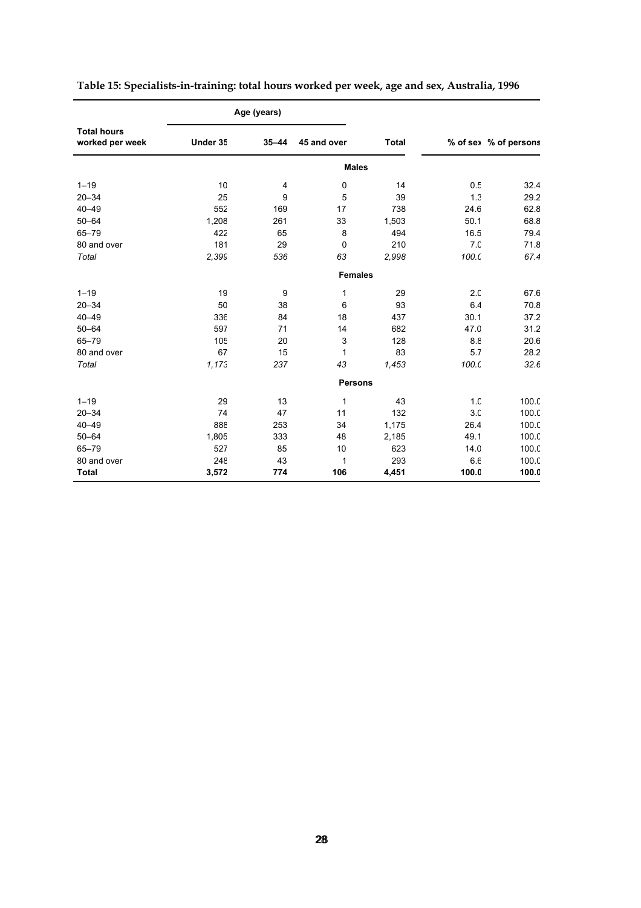|                                       |                 | Age (years) |                |              |                  |                       |  |  |
|---------------------------------------|-----------------|-------------|----------------|--------------|------------------|-----------------------|--|--|
| <b>Total hours</b><br>worked per week | Under 35        | $35 - 44$   | 45 and over    | <b>Total</b> |                  | % of sex % of persons |  |  |
|                                       |                 |             | <b>Males</b>   |              |                  |                       |  |  |
| $1 - 19$                              | 10              | 4           | 0              | 14           | 0.5              | 32.4                  |  |  |
| $20 - 34$                             | 25              | 9           | 5              | 39           | 1.3              | 29.2                  |  |  |
| $40 - 49$                             | 552             | 169         | 17             | 738          | 24.6             | 62.8                  |  |  |
| $50 - 64$                             | 1,208           | 261         | 33             | 1,503        | 50.1             | 68.8                  |  |  |
| $65 - 79$                             | 422             | 65          | 8              | 494          | 16.5             | 79.4                  |  |  |
| 80 and over                           | 181             | 29          | $\mathbf 0$    | 210          | 7 <sub>c</sub>   | 71.8                  |  |  |
| Total                                 | 2,399           | 536         | 63             | 2,998        | 100 <sub>c</sub> | 67.4                  |  |  |
|                                       |                 |             | <b>Females</b> |              |                  |                       |  |  |
| $1 - 19$                              | 19              | 9           | $\mathbf{1}$   | 29           | 2.0              | 67.6                  |  |  |
| $20 - 34$                             | 50              | 38          | 6              | 93           | 6.4              | 70.8                  |  |  |
| $40 - 49$                             | 336             | 84          | 18             | 437          | 30.1             | 37.2                  |  |  |
| $50 - 64$                             | 597             | 71          | 14             | 682          | 47.0             | 31.2                  |  |  |
| $65 - 79$                             | 10 <sub>5</sub> | 20          | 3              | 128          | 8.8              | 20.6                  |  |  |
| 80 and over                           | 67              | 15          | 1              | 83           | 5.7              | 28.2                  |  |  |
| Total                                 | 1,173           | 237         | 43             | 1,453        | 100 <sub>c</sub> | 32.6                  |  |  |
|                                       |                 |             | <b>Persons</b> |              |                  |                       |  |  |
| $1 - 19$                              | 29              | 13          | 1              | 43           | 1 <sub>c</sub>   | 100.C                 |  |  |
| $20 - 34$                             | 74              | 47          | 11             | 132          | 3.0              | 100.C                 |  |  |
| $40 - 49$                             | 388             | 253         | 34             | 1,175        | 26.4             | 100.C                 |  |  |
| $50 - 64$                             | 1,805           | 333         | 48             | 2,185        | 49.1             | 100.C                 |  |  |
| $65 - 79$                             | 527             | 85          | 10             | 623          | 14.0             | 100.C                 |  |  |
| 80 and over                           | 248             | 43          | 1              | 293          | 6.6              | 100.C                 |  |  |
| <b>Total</b>                          | 3,572           | 774         | 106            | 4,451        | 100.0            | 100.0                 |  |  |

|  | Table 15: Specialists-in-training: total hours worked per week, age and sex, Australia, 1996 |  |
|--|----------------------------------------------------------------------------------------------|--|
|  |                                                                                              |  |